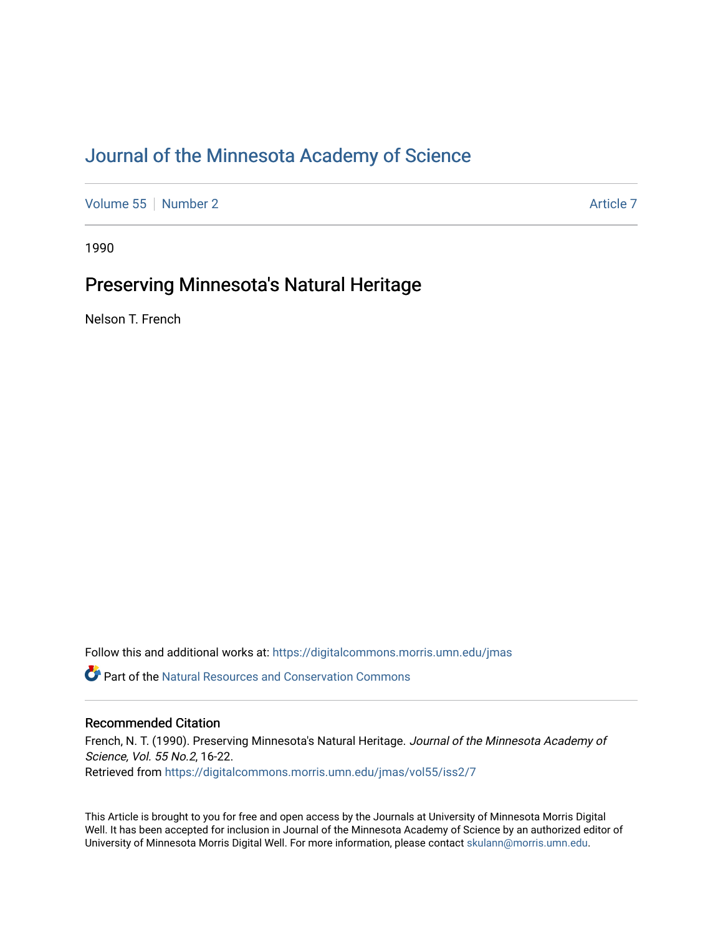# [Journal of the Minnesota Academy of Science](https://digitalcommons.morris.umn.edu/jmas)

[Volume 55](https://digitalcommons.morris.umn.edu/jmas/vol55) [Number 2](https://digitalcommons.morris.umn.edu/jmas/vol55/iss2) Article 7

1990

# Preserving Minnesota's Natural Heritage

Nelson T. French

Follow this and additional works at: [https://digitalcommons.morris.umn.edu/jmas](https://digitalcommons.morris.umn.edu/jmas?utm_source=digitalcommons.morris.umn.edu%2Fjmas%2Fvol55%2Fiss2%2F7&utm_medium=PDF&utm_campaign=PDFCoverPages) 

**C** Part of the Natural Resources and Conservation Commons

# Recommended Citation

French, N. T. (1990). Preserving Minnesota's Natural Heritage. Journal of the Minnesota Academy of Science, Vol. 55 No.2, 16-22. Retrieved from [https://digitalcommons.morris.umn.edu/jmas/vol55/iss2/7](https://digitalcommons.morris.umn.edu/jmas/vol55/iss2/7?utm_source=digitalcommons.morris.umn.edu%2Fjmas%2Fvol55%2Fiss2%2F7&utm_medium=PDF&utm_campaign=PDFCoverPages)

This Article is brought to you for free and open access by the Journals at University of Minnesota Morris Digital Well. It has been accepted for inclusion in Journal of the Minnesota Academy of Science by an authorized editor of University of Minnesota Morris Digital Well. For more information, please contact [skulann@morris.umn.edu](mailto:skulann@morris.umn.edu).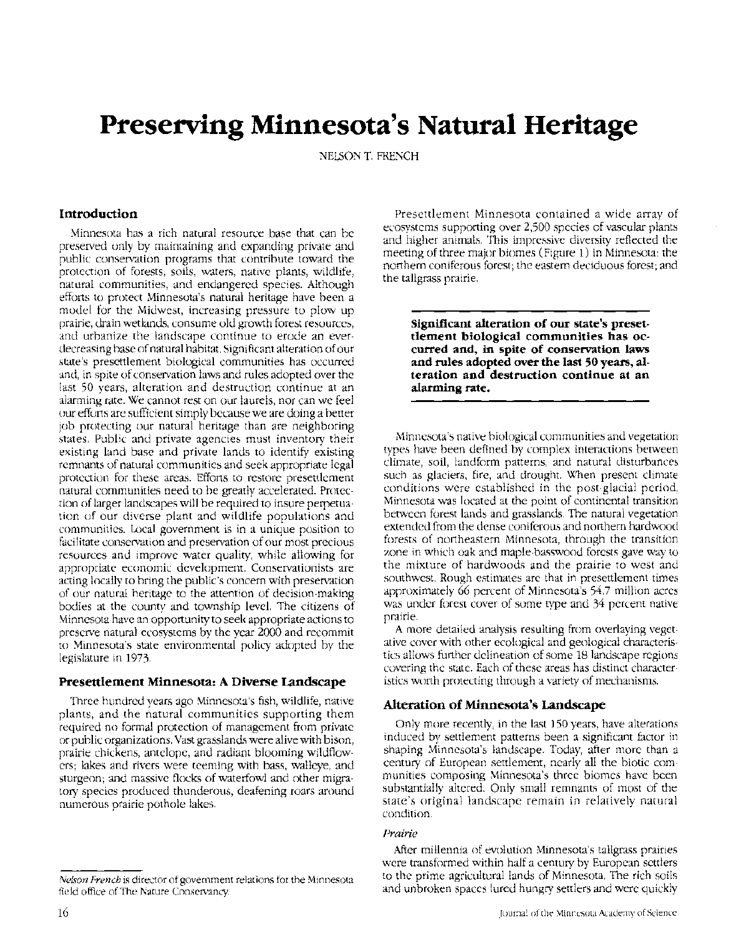# **Preserving Minnesota's Natural Heritage**

NELSON T. FRENCH

### **Introduction**

Minnesota has a rich natural resource base that can be preserved only by maintaining and expanding private and public conservation programs that contribute toward the protection of forests, soils, waters, native plants, wildlife, natural communities, and endangered species. Although efforts to protect Minnesota's natural heritage have been a model for the Midwest, increasing pressure to plow up prairie, drain wetlands, consume old growth forest resources, and urbanize the landscape continue to erode an everdecreasing base of natural habitat. Significant alteration of our state's presettlement biological communities has occurred and, in spite of conservation laws and rules adopted over the last 50 years, alteration and destruction continue at an alarming rate. We cannot rest on our laurels, nor can we feel our efforts are sufficient simply because we are doing a better job protecting our natural heritage than are neighboring states. Public and private agencies must inventory their existing land base and private lands to identify existing remnants of natural communities and seek appropriate legal protection for these areas. Efforts to restore presettlement natural communities need to be greatly accelerated. Protection of larger landscapes will be required to insure perpetuation of our diverse plant and wildlife populations and communities. Local government is in a unique position to facilitate conservation and preservation of our most precious resources and improve water quality, while allowing for appropriate economic development. Conservationists are acting locally to bring the public's concern with preservation of our natural heritage to the attention of decision-making bodies at the county and township level. The citizens of Minnesota have an opportunity to seek appropriate actions to preserve natural ecosystems by the year 2000 and recommit to Minnesota's state environmental policy adopted by the legislature in 1973.

#### **Presettlement Minnesota: A Diverse Landscape**

Three hundred years ago Minnesota's fish, wildlife, native plants, and the natural communities supporting them required no formal protection of management from private or public organizations. Vast grasslands were alive with bison, prairie chickens, antelope, and radiant blooming wildflowers; lakes and rivers were teeming with bass, walleye, and sturgeon; and massive flocks of waterfowl and other migratory species produced thunderous, deafening roars around numerous prairie pothole lakes.

Presettlement Minnesota contained a wide array of ecosystems supporting over 2,500 species of vascular plants and higher animals. This impressive diversity reflected the meeting of three major biomes (Figure 1) in Minnesota: the northern coniferous forest; the eastern deciduous forest; and the tallgrass prairie.

**Significant alteration of our state's presetdement biological communities has** oc**curred and, in spite of conservation laws and rules adopted over the last 50 years, alteration and destruction continue at an alarming rate.** 

Minnesota's native biological communities and vegetation types have been defined by complex interactions between climate, soil, landform patterns, and natural disturbances such as glaciers, fire, and drought. When present climate conditions were established in the post-glacial period, Minnesota was located at the point of continental transition between forest lands and grasslands. The natural vegetation extended from the dense coniferous and northern hardwood forests of northeastern Minnesota, through the transition zone in which oak and maple-basswood forests gave way to the mixture of hardwoods and the prairie to west and southwest. Rough estimates are that in presettlement times approximately 66 percent of Minnesota's 54.7 million acres was under forest cover of some type and 34 percent native prairie.

A more detailed analysis resulting from overlaying vegetative cover with other ecological and geological characteristics allows further delineation of some 18 landscape regions covering the state. Each of these areas has distinct characteristics worth protecting through a variety of mechanisms.

#### **Alteration of Minnesota's Landscape**

Only more recently, in the last 150 years, have alterations induced by settlement patterns been a significant factor in shaping Minnesota's landscape. Today, after more than a century of European settlement, nearly all the biotic communities composing Minnesota's three biomes have been substantially altered. Only small remnants of most of the state's original landscape remain in relatively natural condition.

#### *Prairie*

After millennia of evolution Minnesota's tallgrass prairies were transformed within half a century by European settlers to the prime agricultural lands of Minnesota. The rich soils and unbroken spaces lured hungry settlers and were quickly

*Nelson French* is director of government relations for the Minnesota field office of The Nature Conservancy.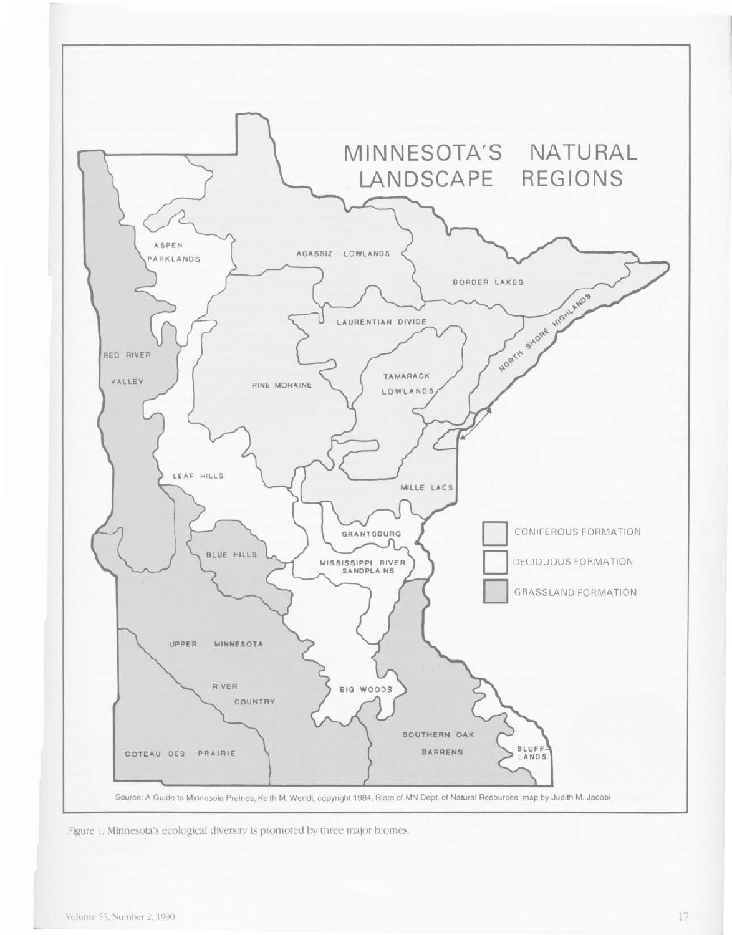

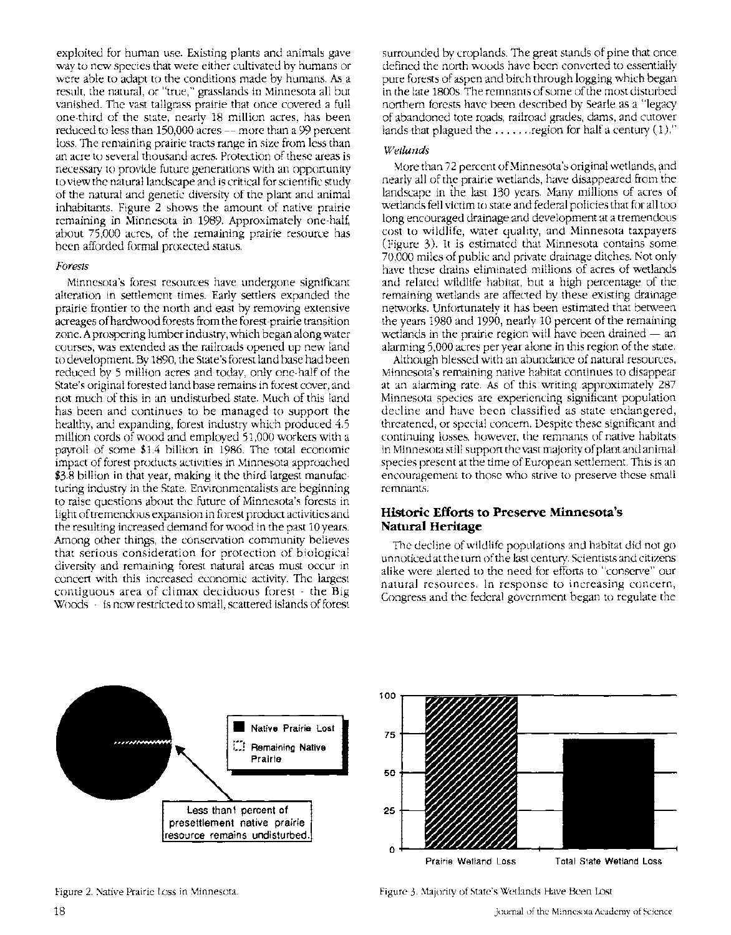exploited for human use. Existing plants and animals gave way to new species that were either cultivated by humans or were able to adapt to the conditions made by humans. As a result, the natural, or "true," grasslands in Minnesota all but vanished. The vast tallgrass prairie that once covered a full one-third of the state, nearly 18 million acres, has been reduced to less than 150,000 acres- more than a 99 percent loss. The remaining prairie tracts range in size from less than an acre to several thousand acres. Protection of these areas is necessary to provide future generations with an opportunity to view the natural landscape and is critical for scientific study of the natural and genetic diversity of the plant and animal inhabitants. Figure 2 shows the amount of native prairie remaining in Minnesota in 1989. Approximately one-half, about 75,000 acres, of the remaining prairie resource has been afforded formal protected status.

#### *Forests*

Minnesota's forest resources have undergone significant alteration in settlement times. Early settlers expanded the prairie frontier to the north and east by removing extensive acreages of hardwood forests from the forest-prairie transition zone. A prospering lumber industry, which began along water courses, was extended as the railroads opened up new land to development. By 1890, the State's forest land base had been reduced by 5 million acres and today, only one-half of the State's original forested land base remains in forest cover, and not much of this in an undisturbed state. Much of this land has been and continues to be managed to support the healthy, and expanding, forest industry which produced 4.5 million cords of wood and employed 51,000 workers with a payroll of some \$1.4 billion in 1986. The total economic impact of forest products activities in Minnesota approached \$3.8 billion in that year, making it the third largest manufacturing industry in the State. Environmentalists are beginning to raise questions about the future of Minnesota's forests in light of tremendous expansion in forest product activities and the resulting increased demand for wood in the past 10years. Among other things, the conservation community believes that serious consideration for protection of biological diversity and remaining forest natural areas must occur in concert with this increased economic activity. The largest contiguous area of climax deciduous forest - the Big Woods - is now restricted to small, scattered islands of forest

surrounded by croplands. The great stands of pine that once defined the north woods have been converted to essentially pure forests of aspen and birch through logging which began in the late 1800s. The remnants of some of the most disturbed northern forests have been described by Searle as a "legacy of abandoned tote roads, railroad grades, dams, and cutover lands that plagued the  $\dots \dots$  region for half a century  $(1)$ ."

#### *Wetlands*

More than 72 percent of Minnesota's original wetlands, and nearly all of the prairie wetlands, have disappeared from the landscape in the last 130 years. Many millions of acres of wetlands fell victim to state and federal policies that for all too long encouraged drainage and development at a tremendous cost to wildlife, water quality, and Minnesota taxpayers (Figure 3). It is estimated that Minnesota contains some 70,000 miles of public and private drainage ditches. Not only have these drains eliminated millions of acres of wetlands and related wildlife habitat, but a high percentage of the remaining wetlands are affected by these existing drainage networks. Unfortunately it has been estimated that between the years 1980 and 1990, nearly 10 percent of the remaining wetlands in the prairie region will have been drained  $-$  an alarming 5,000 acres per year alone in this region of the state.

Although blessed with an abundance of natural resources, Minnesota's remaining native habitat continues to disappear at an alarming rate. As of this writing approximately 287 Minnesota species are experiencing significant population decline and have been classified as state endangered, threatened, or special concern. Despite these significant and continuing losses, however, the remnants of native habitats in Minnesota still support the vast majority of plant and animal species present at the time of European settlement. This is an encouragement to those who strive to preserve these small remnants.

## **Historic Efforts to Preserve Minnesota's Natural Heritage**

The decline of wildlife populations and habitat did not go unnoticed at the turn of the last century. Scientists and citizens alike were alerted to the need for efforts to "conserve" our natural resources. In response to increasing concern, Congress and the federal government began to regulate the

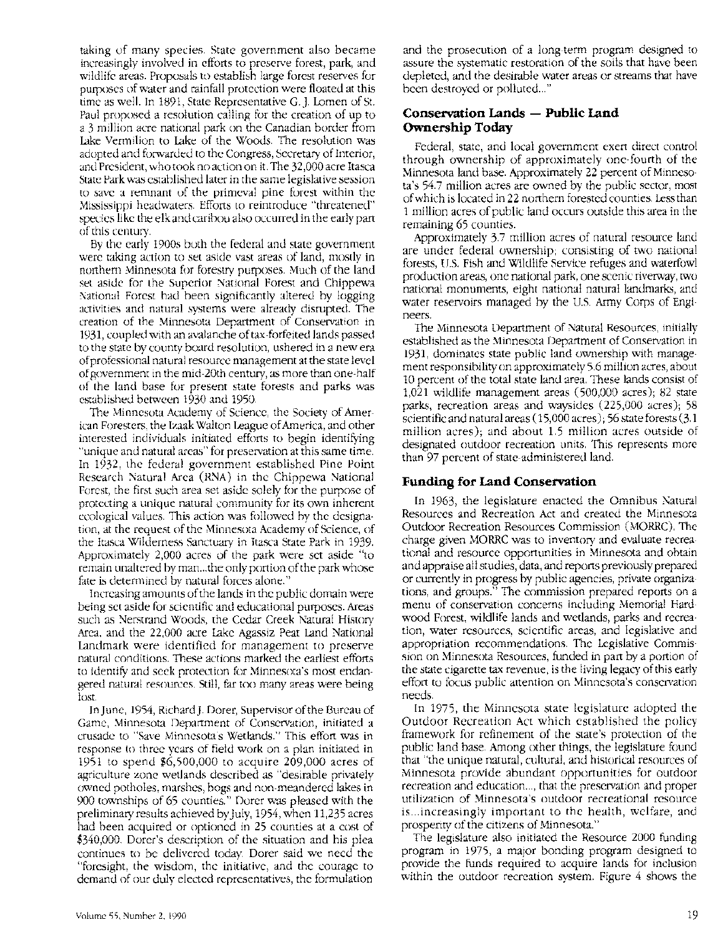taking of many species. State government also became increasingly involved in efforts to preserve forest, park, and wildlife areas. Proposals to establish large forest reserves for purposes of water and rainfall protection were floated at this time as well. In 1891, State Representative G.]. Lomen of St. Paul proposed a resolution calling for the creation of up to a 3 million acre national park on the Canadian border from lake Vermilion to Lake of the Woods. The resolution was adopted and forwarded to the Congress, Secretary of Interior, and President, who took no action on it. The 32,000 acre Itasca State Park was established later in the same legislative session to save a remnant of the primeval pine forest within the Mississippi headwaters. Efforts to reintroduce "threatened" species like the elk and caribou also occurred in the early part of this century.

By the early 1900s both the federal and state government were taking action to set aside vast areas of land, mostly in northern Minnesota for forestry purposes. Much of the land set aside for the Superior National Forest and Chippewa National Forest had been significantly altered by logging activities and natural systems were already disrupted. The creation of the Minnesota Department of Conservation in 1931, coupled with an avalanche of tax-forfeited lands passed to the state by county board resolution, ushered in a new era of professional natural resource management at the state level of government in the mid-20th century, as more than one-half of the land base for present state forests and parks was established between 1930 and 1950.

The Minnesota Academy of Science, the Society of American Foresters, the Izaak Walton League of America, and other interested individuals initiated efforts to begin identifying "unique and natural areas" for preservation at this same time. In 1932, the federal government established Pine Point Research Natural Area (RNA) in the Chippewa National Forest, the first such area set aside solely for the purpose of protecting a unique natural community for its own inherent ecological values. This action was followed by the designation, at the request of the Minnesota Academy of Science, of the Itasca Wilderness Sanctuary in Itasca State Park in 1939. Approximately 2,000 acres of the park were set aside "to remain unaltered by man ... the only portion of the park whose fate is determined by natural forces alone."

Increasing amounts of the lands in the public domain were being set aside for scientific and educational purposes. Areas such as Nerstrand Woods, the Cedar Creek Natural History Area, and the 22,000 acre Lake Agassiz Peat Land National Landmark were identified for management to preserve natural conditions. These actions marked the earliest efforts to identify and seek protection for Minnesota's most endangered natural resources. Still, far too many areas were being lost.

In june, 1954, Richard]. Dorer, Supervisor of the Bureau of Game, Minnesota Department of Conservation, initiated a crusade to "Save Minnesota's Wetlands." This effort was in response to three years of field work on a plan initiated in 1951 to spend \$6,500,000 to acquire 209,000 acres of agriculture zone wetlands described as "desirable privately owned potholes, marshes, bogs and non-meandered lakes in 900 townships of 65 counties." Dorer was pleased with the preliminary results achieved by July, 1954, when 11,235 acres had been acquired or optioned in 25 counties at a cost of \$340,000. Dorer's description of the situation and his plea continues to be delivered today. Dorer said we need the "foresight, the wisdom, the initiative, and the courage to demand of our duly elected representatives, the formulation

and the prosecution of a long-term program designed to assure the systematic restoration of the soils that have been depleted, and the desirable water areas or streams that have been destroyed or polluted..."

# **Conservation Lands - Public Land Ownership Today**

Federal, state, and local government exert direct control through ownership of approximately one-fourth of the Minnesota land base. Approximately 22 percent of Minnesota's 54.7 million acres are owned by the public sector, most of which is located in 22 northern forested counties. Less than 1 million acres of public land occurs outside this area in the remaining 65 counties.

Approximately 3.7 million acres of natural resource land are under federal ownership; consisting of two national forests, U.S. Fish and Wildlife Service refuges and waterfowl production areas, one national park, one scenic riverway, two national monuments, eight national natural landmarks, and water reservoirs managed by the U.S. Army Corps of Engineers.

The Minnesota Department of Natural Resources, initially established as the Minnesota Department of Conservation in 1931, dominates state public land ownership with management responsibility on approximately 5.6 million acres, about 10 percent of the total state land area. These lands consist of 1,021 wildlife management areas (500,000 acres); 82 state parks, recreation areas and waysides (225,000 acres); 58 scientific and natural areas ( 15,000 acres); 56 state forests (3.1 million acres); and about 1.5 million acres outside of designated outdoor recreation units. This represents more than 97 percent of state-administered land.

# **Funding for Land Conservation**

In 1963, the legislature enacted the Omnibus Natural Resources and Recreation Act and created the Minnesota Outdoor Recreation Resources Commission (MORRC). The charge given MORRC was to inventory and evaluate recreational and resource opportunities in Minnesota and obtain and appraise all studies, data, and reports previously prepared or currently in progress by public agencies, private organizations, and groups." The commission prepared reports on a menu of conservation concerns including Memorial Hardwood Forest, wildlife lands and wetlands, parks and recreation, water resources, scientific areas, and legislative and appropriation recommendations. The Legislative Commission on Minnesota Resources, funded in part by a portion of the state cigarette tax revenue, is the living legacy of this early effort to focus public attention on Minnesota's conservation needs.

In 1975, the Minnesota state legislature adopted the Outdoor Recreation Act which established the policy framework for refinement of the state's protection of the public land base. Among other things, the legislature found that "the unique natural, cultural, and historical resources of Minnesota provide abundant opportunities for outdoor recreation and education..., that the preservation and proper utilization of Minnesota's outdoor recreational resource is .. .increasingly important to the health, welfare, and prosperity of the citizens of Minnesota."

The legislature also initiated the Resource 2000 funding program in 1975, a major bonding program designed to provide the funds required to acquire lands for inclusion within the outdoor recreation system. Figure 4 shows the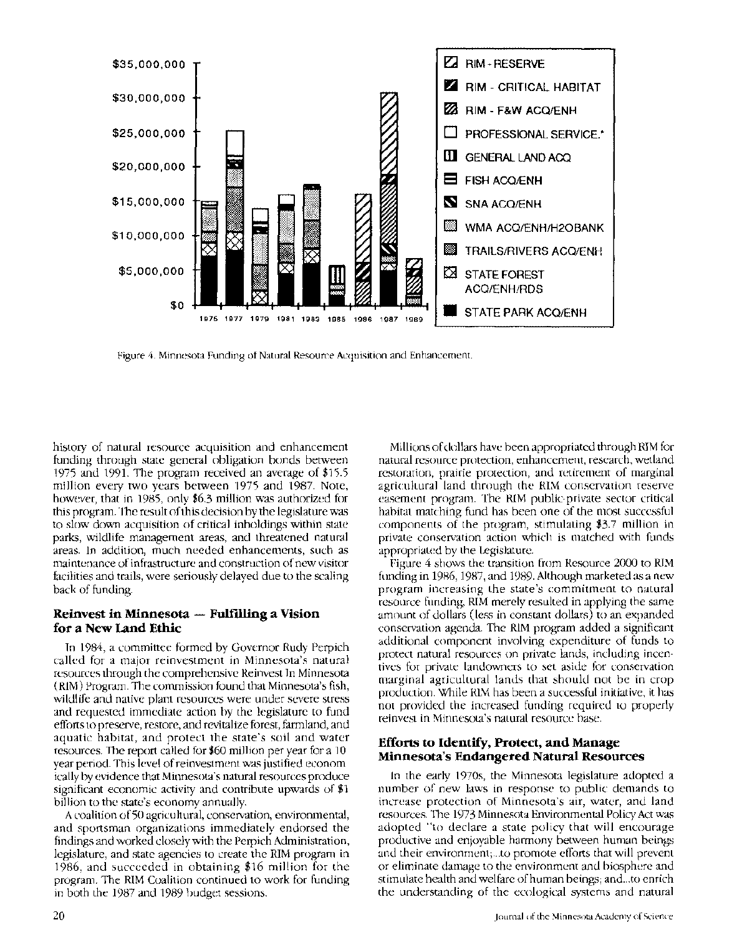

Figure 4. Minnesota Funding of Natural Resource Acquisition and Enhancement.

history of natural resource acquisition and enhancement funding through state general obligation bonds between 1975 and 1991. The program received an average of \$15.5 million every two years between 1975 and 1987. Note, however, that in 1985, only \$6.3 million was authorized for this program. The result of this decision by the legislature was to slow down acquisition of critical inholdings within state parks, wildlife management areas, and threatened natural areas. In addition, much needed enhancements, such as maintenance of infrastructure and construction of new visitor facilities and trails, were seriously delayed due to the scaling back of funding.

# Reinvest in Minnesota  $-$  Fulfilling a Vision for a New Land Ethic

In 1984, a committee formed by Governor Rudy Perpich called for a major reinvestment in Minnesota's natural resources through the comprehensive Reinvest In Minnesota (RIM) Program. The commission found that Minnesota's fish, wildlife and native plant resources were under severe stress and requested immediate action by the legislature to fund efforts to preserve, restore, and revitalize forest, farmland, and aquatic habitat, and protect the state's soil and water resources. The report called for \$60 million per year for a 10 year period. This level of reinvestment was justified economically by evidence that Minnesota's natural resources produce significant economic activity and contribute upwards of \$1 billion to the state's economy annually.

A coalition of 50 agricultural, conservation, environmental, and sportsman organizations immediately endorsed the findings and worked closely with the Perpich Administration, legislature, and state agencies to create the RIM program in 1986, and succeeded in obtaining \$16 million for the program. The RIM Coalition continued to work for funding in both the 1987 and 1989 budget sessions.

Millions of dollars have been appropriated through RIM for natural resource protection, enhancement, research, wetland restoration, prairie protection, and retirement of marginal agricultural land through the RIM conservation reserve easement program. The RIM public-private sector critical habitat matching fund has been one of the most successful components of the program, stimulating \$3.7 million in private conservation action which is matched with funds appropriated by the Legislature.

Figure 4 shows the transition from Resource 2000 to RIM funding in 1986, 1987, and 1989. Although marketed as a new program increasing the state's commitment to natural resource funding, RIM merely resulted in applying the same amount of dollars (less in constant dollars) to an expanded conservation agenda. The RIM program added a significant additional component involving expenditure of funds to protect natural resources on private lands, including incentives for private landowners to set aside for conservation marginal agricultural lands that should not be in crop production. While RIM has been a successful initiative, it has not provided the increased funding required to properly reinvest in Minnesota's natural resource base.

# Efforts to Identify, Protect, and Manage Minnesota's Endangered Natural Resources

In the early 1970s, the Minnesota legislature adopted a number of new laws in response to public demands to increase protection of Minnesota's air, water, and land resources. The 1973 Minnesota Environmental Policy Act was adopted "to declare a state policy that will encourage productive and enjoyable harmony between human beings and their environment; ... to promote efforts that will prevent or eliminate damage to the environment and biosphere and stimulate health and welfare of human beings; and ... to enrich the understanding of the ecological systems and natural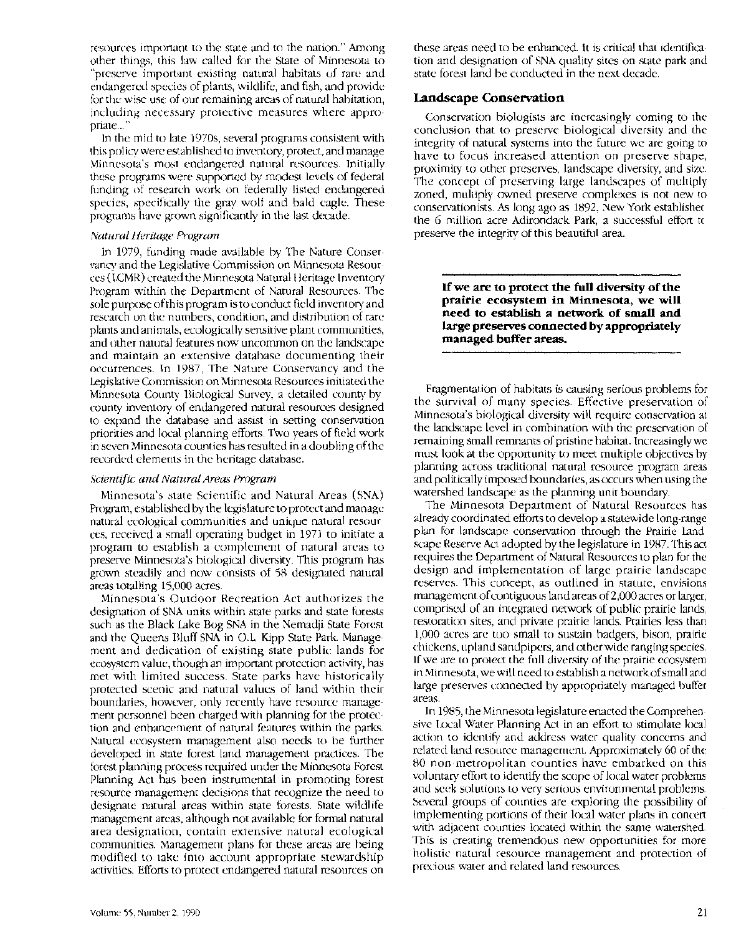resources important to the state and to the nation." Among other things, this law called for the State of Minnesota to "preserve important existing natural habitats of rare and endangered species of plants, wildlife, and fish, and provide for the wise use of our remaining areas of natural habitation, including necessary protective measures where appropriate..."

In the mid to late 1970s, several programs consistent with this policy were established to inventory, protect, and manage Minnesota's most endangered natural resources. Initially these programs were supported by modest levels of federal funding of research work on federally listed endangered species, specifically the gray wolf and bald eagle. These programs have grown significantly in the last decade.

#### *Natural Heritage Program*

In 1979, funding made available by The Nature Conservancy and the Legislative Commission on Minnesota Resources (LCMR) created the Minnesota Natural Heritage Inventory Program within the Department of Natural Resources. The sole purpose of this program is to conduct field inventory and research on the numbers, condition, and distribution of rare plants and animals, ecologically sensitive plant communities, and other natural features now uncommon on the landscape and maintain an extensive database documenting their occurrences. In 1987, The Nature Conservancy and the Legislative Commission on Minnesota Resources initiated the Minnesota County Biological Survey, a detailed county-bycounty inventory of endangered natural resources designed to expand the database and assist in setting conservation priorities and local planning efforts. Two years of field work in seven Minnesota counties has resulted in a doubling of the recorded elements in the heritage database.

#### *Scientific and Natural Areas Program*

Minnesota's state Scientific and Natural Areas (SNA) Program, established by the legislature to protect and manage natural ecological communities and unique natural resources, received a small operating budget in 1971 to initiate a program to establish a complement of natural areas to preserve Minnesota's biological diversity. This program has grown steadily and now consists of 58 designated natural areas totalling 15,000 acres.

Minnesota's Outdoor Recreation Act authorizes the designation of SNA units within state parks and state forests such as the Black Lake Bog SNA in the Nemadji State Forest and the Queens Bluff SNA in O.L. Kipp State Park. Management and dedication of existing state public lands for ecosystem value, though an important protection activity, has met with limited success. State parks have historically protected scenic and natural values of land within their boundaries, however, only recently have resource management personnel been charged with planning for the protection and enhancement of natural features within the parks. Natural ecosystem management also needs to be further developed in state forest land management practices. The forest planning process required under the Minnesota Forest Planning Act has been instrumental in promoting forest resource management decisions that recognize the need to designate natural areas within state forests. State wildlife management areas, although not available for formal natural area designation, contain extensive natural ecological communities. Management plans for these areas are being modified to take into account appropriate stewardship activities. Efforts to protect endangered natural resources on these areas need to be enhanced. It is critical that identification and designation of SNA quality sites on state park and state forest land be conducted in the next decade.

#### **Landscape Conservation**

Conservation biologists are increasingly coming to the conclusion that to preserve biological diversity and the integrity of natural systems into the future we are going to have to focus increased attention on preserve shape, proximity to other preserves, landscape diversity, and size. The concept of preserving large landscapes of multiply zoned, multiply owned preserve complexes is not new to conservationists. As long ago as 1892, New York establishec the 6 million acre Adirondack Park, a successful effort t< preserve the integrity of this beautiful area.

**If we are to protect the full diversity of the prairie ecosystem in Minnesota, we will need to establish a network of small and large preserves connected by appropriately managed buffer areas.** 

Fragmentation of habitats is causing serious problems for the survival of many species. Effective preservation of Minnesota's biological diversity will require conservation at the landscape level in combination with the preservation of remaining small remnants of pristine habitat. Increasingly we must look at the opportunity to meet multiple objectives by planning across traditional natural resource program areas and politically imposed boundaries, as occurs when using the watershed landscape as the planning unit boundary.

The Minnesota Department of Natural Resources has already coordinated efforts to develop a statewide long-range plan for landscape conservation through the Prairie Landscape Reserve Act adopted by the legislature in 1987. This act requires the Department of Natural Resources to plan for the design and implementation of large prairie landscape reserves. This concept, as outlined in statute, envisions management of contiguous land areas of2,000 acres or larger, comprised of an integrated network of public prairie lands, restoration sites, and private prairie lands. Prairies less than 1,000 acres are too small to sustain badgers, bison, prairie chickens, upland sandpipers, and other wide ranging species. If we are to protect the full diversity of the prairie ecosystem in Minnesota, we will need to establish a network of small and large preserves connected by appropriately managed buffer areas.

In 1985, the Minnesota legislature enacted the Comprehensive Local Water Planning Act in an effort to stimulate local action to identify and address water quality concerns and related land resource management. Approximately 60 of the 80 non-metropolitan counties have embarked on this voluntary effort to identify the scope of local water problems and seek solutions to very serious environmental problems. Several groups of counties are exploring the possibility of implementing portions of their local water plans in concert with adjacent counties located within the same watershed. This is creating tremendous new opportunities for more holistic natural resource management and protection of precious water and related land resources.